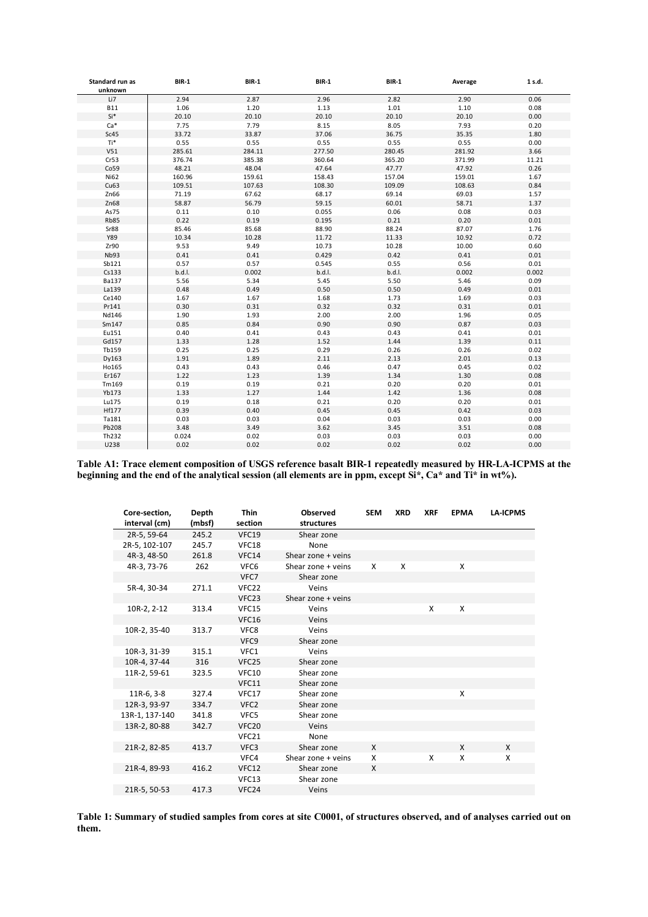| Standard run as<br>unknown | <b>BIR-1</b> | <b>BIR-1</b> | <b>BIR-1</b> | <b>BIR-1</b> | Average | 1 s.d. |
|----------------------------|--------------|--------------|--------------|--------------|---------|--------|
| Li7                        | 2.94         | 2.87         | 2.96         | 2.82         | 2.90    | 0.06   |
| <b>B11</b>                 | 1.06         | 1.20         | 1.13         | 1.01         | 1.10    | 0.08   |
| $Si*$                      | 20.10        | 20.10        | 20.10        | 20.10        | 20.10   | 0.00   |
| $Ca*$                      | 7.75         | 7.79         | 8.15         | 8.05         | 7.93    | 0.20   |
| Sc45                       | 33.72        | 33.87        | 37.06        | 36.75        | 35.35   | 1.80   |
| Ti*                        | 0.55         | 0.55         | 0.55         | 0.55         | 0.55    | 0.00   |
| V51                        | 285.61       | 284.11       | 277.50       | 280.45       | 281.92  | 3.66   |
| Cr53                       | 376.74       | 385.38       | 360.64       | 365.20       | 371.99  | 11.21  |
| Co59                       | 48.21        | 48.04        | 47.64        | 47.77        | 47.92   | 0.26   |
| Ni62                       | 160.96       | 159.61       | 158.43       | 157.04       | 159.01  | 1.67   |
| Cu63                       | 109.51       | 107.63       | 108.30       | 109.09       | 108.63  | 0.84   |
| Zn66                       | 71.19        | 67.62        | 68.17        | 69.14        | 69.03   | 1.57   |
| Zn68                       | 58.87        | 56.79        | 59.15        | 60.01        | 58.71   | 1.37   |
| As75                       | 0.11         | 0.10         | 0.055        | 0.06         | 0.08    | 0.03   |
| <b>Rb85</b>                | 0.22         | 0.19         | 0.195        | 0.21         | 0.20    | 0.01   |
| Sr88                       | 85.46        | 85.68        | 88.90        | 88.24        | 87.07   | 1.76   |
| Y89                        | 10.34        | 10.28        | 11.72        | 11.33        | 10.92   | 0.72   |
| Zr90                       | 9.53         | 9.49         | 10.73        | 10.28        | 10.00   | 0.60   |
| Nb93                       | 0.41         | 0.41         | 0.429        | 0.42         | 0.41    | 0.01   |
| Sb121                      | 0.57         | 0.57         | 0.545        | 0.55         | 0.56    | 0.01   |
| Cs133                      | b.d.l.       | 0.002        | b.d.l.       | b.d.l.       | 0.002   | 0.002  |
| <b>Ba137</b>               | 5.56         | 5.34         | 5.45         | 5.50         | 5.46    | 0.09   |
| La139                      | 0.48         | 0.49         | 0.50         | 0.50         | 0.49    | 0.01   |
| Ce140                      | 1.67         | 1.67         | 1.68         | 1.73         | 1.69    | 0.03   |
| Pr141                      | 0.30         | 0.31         | 0.32         | 0.32         | 0.31    | 0.01   |
| Nd146                      | 1.90         | 1.93         | 2.00         | 2.00         | 1.96    | 0.05   |
| Sm147                      | 0.85         | 0.84         | 0.90         | 0.90         | 0.87    | 0.03   |
| Eu151                      | 0.40         | 0.41         | 0.43         | 0.43         | 0.41    | 0.01   |
| Gd157                      | 1.33         | 1.28         | 1.52         | 1.44         | 1.39    | 0.11   |
| Tb159                      | 0.25         | 0.25         | 0.29         | 0.26         | 0.26    | 0.02   |
| Dy163                      | 1.91         | 1.89         | 2.11         | 2.13         | 2.01    | 0.13   |
| Ho165                      | 0.43         | 0.43         | 0.46         | 0.47         | 0.45    | 0.02   |
| Er167                      | 1.22         | 1.23         | 1.39         | 1.34         | 1.30    | 0.08   |
| Tm169                      | 0.19         | 0.19         | 0.21         | 0.20         | 0.20    | 0.01   |
| Yb173                      | 1.33         | 1.27         | 1.44         | 1.42         | 1.36    | 0.08   |
| Lu175                      | 0.19         | 0.18         | 0.21         | 0.20         | 0.20    | 0.01   |
| Hf177                      | 0.39         | 0.40         | 0.45         | 0.45         | 0.42    | 0.03   |
| Ta181                      | 0.03         | 0.03         | 0.04         | 0.03         | 0.03    | 0.00   |
| Pb208                      | 3.48         | 3.49         | 3.62         | 3.45         | 3.51    | 0.08   |
| Th232                      | 0.024        | 0.02         | 0.03         | 0.03         | 0.03    | 0.00   |
| U238                       | 0.02         | 0.02         | 0.02         | 0.02         | 0.02    | 0.00   |

**Table A1: Trace element composition of USGS reference basalt BIR-1 repeatedly measured by HR-LA-ICPMS at the beginning and the end of the analytical session (all elements are in ppm, except Si\*, Ca\* and Ti\* in wt%).**

| Core-section,  | Depth  | <b>Thin</b>       | <b>Observed</b>      | <b>SEM</b> | <b>XRD</b> | <b>XRF</b> | <b>EPMA</b> | <b>LA-ICPMS</b> |
|----------------|--------|-------------------|----------------------|------------|------------|------------|-------------|-----------------|
| interval (cm)  | (mbsf) | section           | structures           |            |            |            |             |                 |
| 2R-5, 59-64    | 245.2  | VFC19             | Shear zone           |            |            |            |             |                 |
| 2R-5, 102-107  | 245.7  | VFC18             | None                 |            |            |            |             |                 |
| 4R-3, 48-50    | 261.8  | VFC14             | Shear zone + veins   |            |            |            |             |                 |
| 4R-3, 73-76    | 262    | VFC6              | Shear zone $+$ veins | X          | X          |            | X           |                 |
|                |        | VFC7              | Shear zone           |            |            |            |             |                 |
| 5R-4, 30-34    | 271.1  | VFC <sub>22</sub> | Veins                |            |            |            |             |                 |
|                |        | VFC23             | Shear zone $+$ veins |            |            |            |             |                 |
| 10R-2, 2-12    | 313.4  | VFC15             | Veins                |            |            | X          | X           |                 |
|                |        | VFC16             | Veins                |            |            |            |             |                 |
| 10R-2, 35-40   | 313.7  | VFC8              | Veins                |            |            |            |             |                 |
|                |        | VFC9              | Shear zone           |            |            |            |             |                 |
| 10R-3, 31-39   | 315.1  | VFC1              | Veins                |            |            |            |             |                 |
| 10R-4, 37-44   | 316    | VFC <sub>25</sub> | Shear zone           |            |            |            |             |                 |
| 11R-2, 59-61   | 323.5  | <b>VFC10</b>      | Shear zone           |            |            |            |             |                 |
|                |        | VFC11             | Shear zone           |            |            |            |             |                 |
| 11R-6, 3-8     | 327.4  | VFC17             | Shear zone           |            |            |            | X           |                 |
| 12R-3, 93-97   | 334.7  | VFC <sub>2</sub>  | Shear zone           |            |            |            |             |                 |
| 13R-1, 137-140 | 341.8  | VFC5              | Shear zone           |            |            |            |             |                 |
| 13R-2, 80-88   | 342.7  | <b>VFC20</b>      | Veins                |            |            |            |             |                 |
|                |        | VFC21             | None                 |            |            |            |             |                 |
| 21R-2, 82-85   | 413.7  | VFC3              | Shear zone           | X          |            |            | X           | X               |
|                |        | VFC4              | Shear zone + veins   | X          |            | X          | X           | X               |
| 21R-4, 89-93   | 416.2  | <b>VFC12</b>      | Shear zone           | X          |            |            |             |                 |
|                |        | VFC13             | Shear zone           |            |            |            |             |                 |
| 21R-5, 50-53   | 417.3  | VFC24             | Veins                |            |            |            |             |                 |
|                |        |                   |                      |            |            |            |             |                 |

**Table 1: Summary of studied samples from cores at site C0001, of structures observed, and of analyses carried out on them.**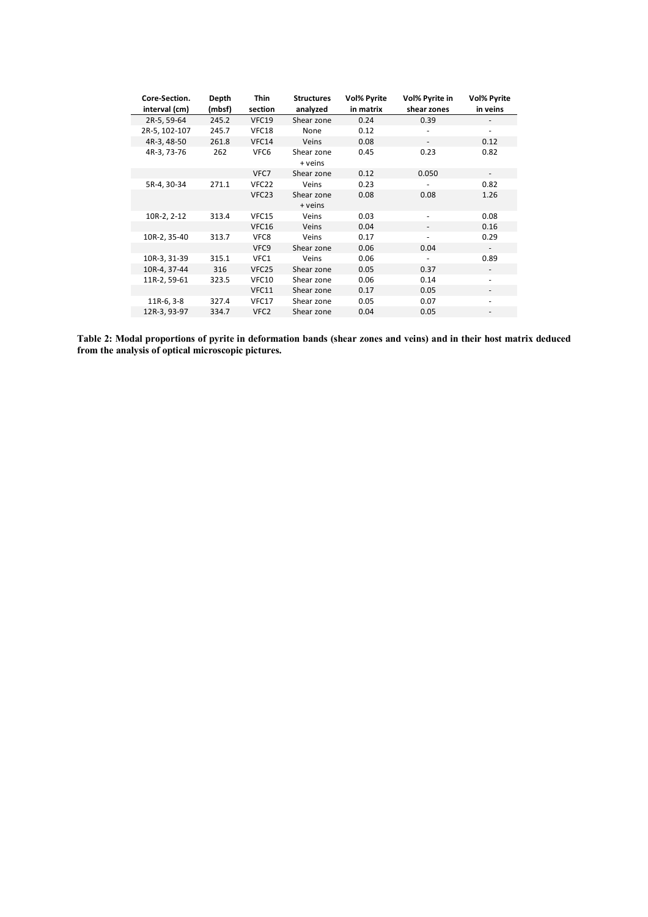| Core-Section. | Depth  | <b>Thin</b>       | <b>Structures</b>     | <b>Vol% Pyrite</b> | Vol% Pyrite in           | <b>Vol% Pyrite</b> |
|---------------|--------|-------------------|-----------------------|--------------------|--------------------------|--------------------|
| interval (cm) | (mbsf) | section           | analyzed              | in matrix          | shear zones              | in veins           |
| 2R-5, 59-64   | 245.2  | VFC19             | Shear zone            | 0.24               | 0.39                     |                    |
| 2R-5, 102-107 | 245.7  | VFC18             | None                  | 0.12               |                          |                    |
| 4R-3, 48-50   | 261.8  | VFC14             | Veins                 | 0.08               | $\overline{\phantom{a}}$ | 0.12               |
| 4R-3, 73-76   | 262    | VFC6              | Shear zone<br>+ veins | 0.45               | 0.23                     | 0.82               |
|               |        | VFC7              | Shear zone            | 0.12               | 0.050                    |                    |
| 5R-4, 30-34   | 271.1  | VFC <sub>22</sub> | Veins                 | 0.23               |                          | 0.82               |
|               |        | VFC23             | Shear zone<br>+ veins | 0.08               | 0.08                     | 1.26               |
| 10R-2, 2-12   | 313.4  | VFC15             | Veins                 | 0.03               |                          | 0.08               |
|               |        | <b>VFC16</b>      | Veins                 | 0.04               | $\overline{\phantom{a}}$ | 0.16               |
| 10R-2, 35-40  | 313.7  | VFC8              | Veins                 | 0.17               |                          | 0.29               |
|               |        | VFC9              | Shear zone            | 0.06               | 0.04                     |                    |
| 10R-3, 31-39  | 315.1  | VFC1              | Veins                 | 0.06               |                          | 0.89               |
| 10R-4, 37-44  | 316    | VFC <sub>25</sub> | Shear zone            | 0.05               | 0.37                     |                    |
| 11R-2, 59-61  | 323.5  | <b>VFC10</b>      | Shear zone            | 0.06               | 0.14                     |                    |
|               |        | VFC11             | Shear zone            | 0.17               | 0.05                     |                    |
| $11R-6, 3-8$  | 327.4  | VFC17             | Shear zone            | 0.05               | 0.07                     |                    |
| 12R-3, 93-97  | 334.7  | VFC <sub>2</sub>  | Shear zone            | 0.04               | 0.05                     |                    |

**Table 2: Modal proportions of pyrite in deformation bands (shear zones and veins) and in their host matrix deduced from the analysis of optical microscopic pictures.**